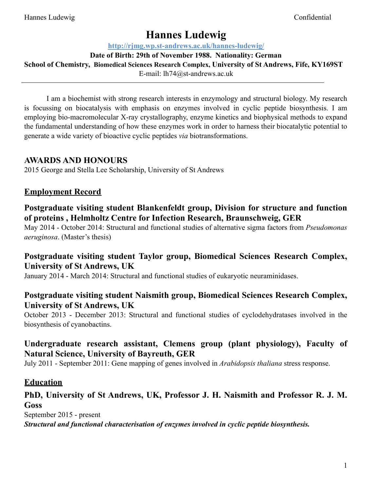# **Hannes Ludewig**

**http://rjmg.wp.st-andrews.ac.uk/hannes-ludewig/** 

**Date of Birth: 29th of November 1988. Nationality: German** 

**School of Chemistry, Biomedical Sciences Research Complex, University of St Andrews, Fife, KY169ST**

E-mail: lh74@st-andrews.ac.uk

I am a biochemist with strong research interests in enzymology and structural biology. My research is focussing on biocatalysis with emphasis on enzymes involved in cyclic peptide biosynthesis. I am employing bio-macromolecular X-ray crystallography, enzyme kinetics and biophysical methods to expand the fundamental understanding of how these enzymes work in order to harness their biocatalytic potential to generate a wide variety of bioactive cyclic peptides *via* biotransformations.

# **AWARDS AND HONOURS**

2015 George and Stella Lee Scholarship, University of St Andrews

# **Employment Record**

## **Postgraduate visiting student Blankenfeldt group, Division for structure and function of proteins , Helmholtz Centre for Infection Research, Braunschweig, GER**

May 2014 - October 2014: Structural and functional studies of alternative sigma factors from *Pseudomonas aeruginosa*. (Master's thesis)

## **Postgraduate visiting student Taylor group, Biomedical Sciences Research Complex, University of St Andrews, UK**

January 2014 - March 2014: Structural and functional studies of eukaryotic neuraminidases.

#### **Postgraduate visiting student Naismith group, Biomedical Sciences Research Complex, University of St Andrews, UK**

October 2013 - December 2013: Structural and functional studies of cyclodehydratases involved in the biosynthesis of cyanobactins.

# **Undergraduate research assistant, Clemens group (plant physiology), Faculty of Natural Science, University of Bayreuth, GER**

July 2011 - September 2011: Gene mapping of genes involved in *Arabidopsis thaliana* stress response.

## **Education**

## **PhD, University of St Andrews, UK, Professor J. H. Naismith and Professor R. J. M. Goss**

September 2015 - present *Structural and functional characterisation of enzymes involved in cyclic peptide biosynthesis.*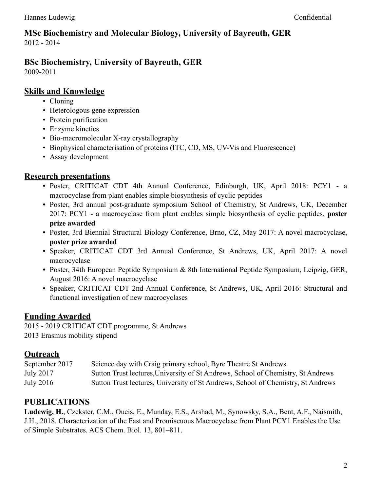#### **MSc Biochemistry and Molecular Biology, University of Bayreuth, GER** 2012 - 2014

# **BSc Biochemistry, University of Bayreuth, GER**

2009-2011

#### **Skills and Knowledge**

- Cloning
- Heterologous gene expression
- Protein purification
- Enzyme kinetics
- Bio-macromolecular X-ray crystallography
- Biophysical characterisation of proteins (ITC, CD, MS, UV-Vis and Fluorescence)
- Assay development

## **Research presentations**

- **•** Poster, CRITICAT CDT 4th Annual Conference, Edinburgh, UK, April 2018: PCY1 a macrocyclase from plant enables simple biosynthesis of cyclic peptides
- **•** Poster, 3rd annual post-graduate symposium School of Chemistry, St Andrews, UK, December 2017: PCY1 - a macrocyclase from plant enables simple biosynthesis of cyclic peptides, **poster prize awarded**
- **•** Poster, 3rd Biennial Structural Biology Conference, Brno, CZ, May 2017: A novel macrocyclase, **poster prize awarded**
- **•** Speaker, CRITICAT CDT 3rd Annual Conference, St Andrews, UK, April 2017: A novel macrocyclase
- **•** Poster, 34th European Peptide Symposium & 8th International Peptide Symposium, Leipzig, GER, August 2016: A novel macrocyclase
- **•** Speaker, CRITICAT CDT 2nd Annual Conference, St Andrews, UK, April 2016: Structural and functional investigation of new macrocyclases

## **Funding Awarded**

2015 - 2019 CRITICAT CDT programme, St Andrews 2013 Erasmus mobility stipend

## **Outreach**

| September 2017   | Science day with Craig primary school, Byre Theatre St Andrews                   |
|------------------|----------------------------------------------------------------------------------|
| July 2017        | Sutton Trust lectures, University of St Andrews, School of Chemistry, St Andrews |
| <b>July 2016</b> | Sutton Trust lectures, University of St Andrews, School of Chemistry, St Andrews |

## **PUBLICATIONS**

**Ludewig, H.**, Czekster, C.M., Oueis, E., Munday, E.S., Arshad, M., Synowsky, S.A., Bent, A.F., Naismith, J.H., 2018. Characterization of the Fast and Promiscuous Macrocyclase from Plant PCY1 Enables the Use of Simple Substrates. ACS Chem. Biol. 13, 801–811.